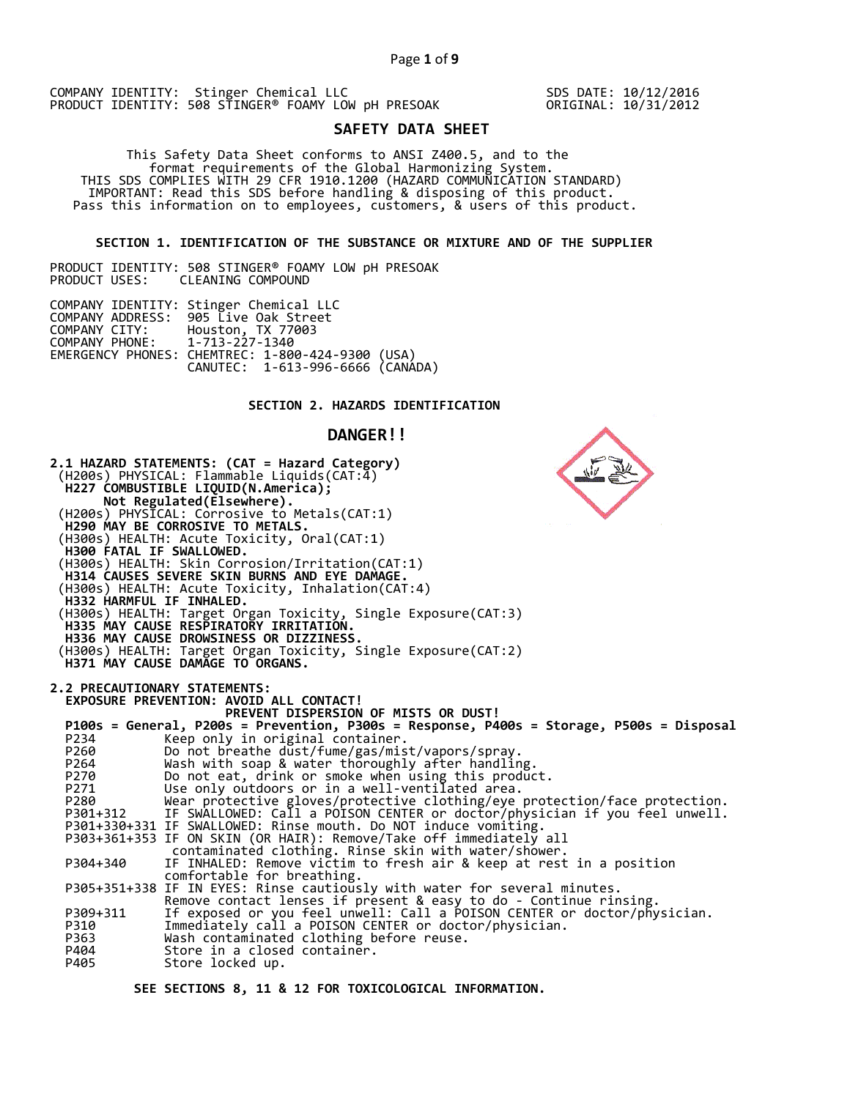SDS DATE: 10/12/2016 ORIGINAL: 10/31/2012

# **SAFETY DATA SHEET**

This Safety Data Sheet conforms to ANSI Z400.5, and to the<br>format requirements of the Global Harmonizing System.<br>THIS SDS COMPLIES WITH 29 CFR 1910.1200 (HAZARD COMMUNICATION STANDARD)<br>IMPORTANT: Read this SDS before handl

### **SECTION 1. IDENTIFICATION OF THE SUBSTANCE OR MIXTURE AND OF THE SUPPLIER**

PRODUCT IDENTITY: 508 STINGER® FOAMY LOW pH PRESOAK PRODUCT USES: CLEANING COMPOUND

|                               | COMPANY IDENTITY: Stinger Chemical LLC           |  |
|-------------------------------|--------------------------------------------------|--|
|                               | COMPANY ADDRESS: 905 Live Oak Street             |  |
|                               | COMPANY CITY: Houston, TX 77003                  |  |
| COMPANY PHONE: 1-713-227-1340 |                                                  |  |
|                               | EMERGENCY PHONES: CHEMTREC: 1-800-424-9300 (USA) |  |
|                               | CANUTEC: 1-613-996-6666 (CANÁDA)                 |  |

# **SECTION 2. HAZARDS IDENTIFICATION**

### **DANGER!!**

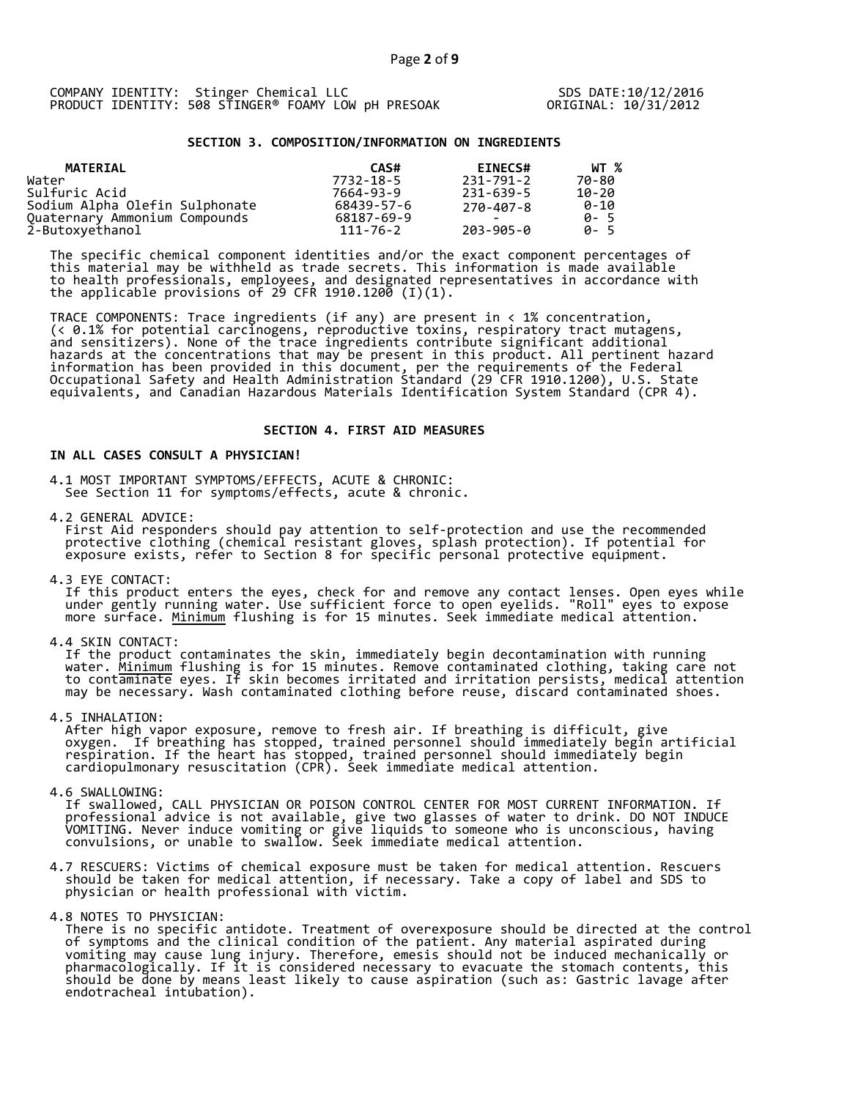# **SECTION 3. COMPOSITION/INFORMATION ON INGREDIENTS**

| MATERIAL                       | CAS#           | <b>EINECS#</b> | WT %        |
|--------------------------------|----------------|----------------|-------------|
| Water                          | 7732-18-5      | 231-791-2      | 70-80       |
| Sulfuric Acid                  | 7664-93-9      | 231-639-5      | $10 - 20$   |
| Sodium Alpha Olefin Sulphonate | 68439-57-6     | 270-407-8      | 0-10        |
| Quaternary Ammonium Compounds  | 68187-69-9     | -              | 0- 5        |
| 2-Butoxyethanol                | $111 - 76 - 2$ | 203-905-0      | <b>A</b> -5 |

The specific chemical component identities and/or the exact component percentages of this material may be withheld as trade secrets. This information is made available to health professionals, employees, and designated representatives in accordance with the applicable provisions of 29 CFR 1910.1200  $(I)(1)$ .

TRACE COMPONENTS: Trace ingredients (if any) are present in < 1% concentration, (< 0.1% for potential carcinogens, reproductive toxins, respiratory tract mutagens, and sensitizers). None of the trace ingredients contribute significant additional hazards at the concentrations that may be present in this product. All pertinent hazard information has been provided in this document, per the requirements of the Federal Occupational Safety and Health Administration Standard (29 CFR 1910.1200), U.S. State<br>equivalents, and Canadian Hazardous Materials Identification System Standard (CPR 4).

#### **SECTION 4. FIRST AID MEASURES**

# **IN ALL CASES CONSULT A PHYSICIAN!**

4.1 MOST IMPORTANT SYMPTOMS/EFFECTS, ACUTE & CHRONIC: See Section 11 for symptoms/effects, acute & chronic.

4.2 GENERAL ADVICE:<br>First Aid responders should pay attention to self-protection and use the recommended protective clothing (chemical resistant gloves, splash protection). If potential for<br>exposure exists, refer to Section 8 for specific personal protective equipment.

4.3 EYE CONTACT:<br>If this product enters the eyes, check for and remove any contact lenses. Open eyes while<br>under gently running water. Use sufficient force to open eyelids. "Roll" eyes to expose<br>more surface. <u>Minimum</u> flu

4.4 SKIN CONTACT:<br>If the product contaminates the skin, immediately begin decontamination with running<br>water. <u>Minimum</u> flushing is for 15 minutes. Remove contaminated clothing, taking care not<br>to contaminate eyes. If skin

4.5 INHALATION:<br>After high vapor exposure, remove to fresh air. If breathing is difficult, give<br>oxygen. If breathing has stopped, trained personnel should immediately begin artificial<br>respiration. If the heart has stopped,

4.6 SWALLOWING:<br>If swallowed, CALL PHYSICIAN OR POISON CONTROL CENTER FOR MOST CURRENT INFORMATION. If<br>professional advice is not available, give two glasses of water to drink. DO NOT INDUCE<br>VOMITING. Never induce vomiting

4.7 RESCUERS: Victims of chemical exposure must be taken for medical attention. Rescuers should be taken for medical attention, if necessary. Take a copy of label and SDS to physician or health professional with victim.

4.8 NOTES TO PHYSICIAN:<br>There is no specific antidote. Treatment of overexposure should be directed at the control<br>of symptoms and the clinical condition of the patient. Any material aspirated during vomiting may cause lung injury. Therefore, emesis should not be induced mechanically or pharmacologically. If it is considered necessary to evacuate the stomach contents, this should be done by means least likely to cause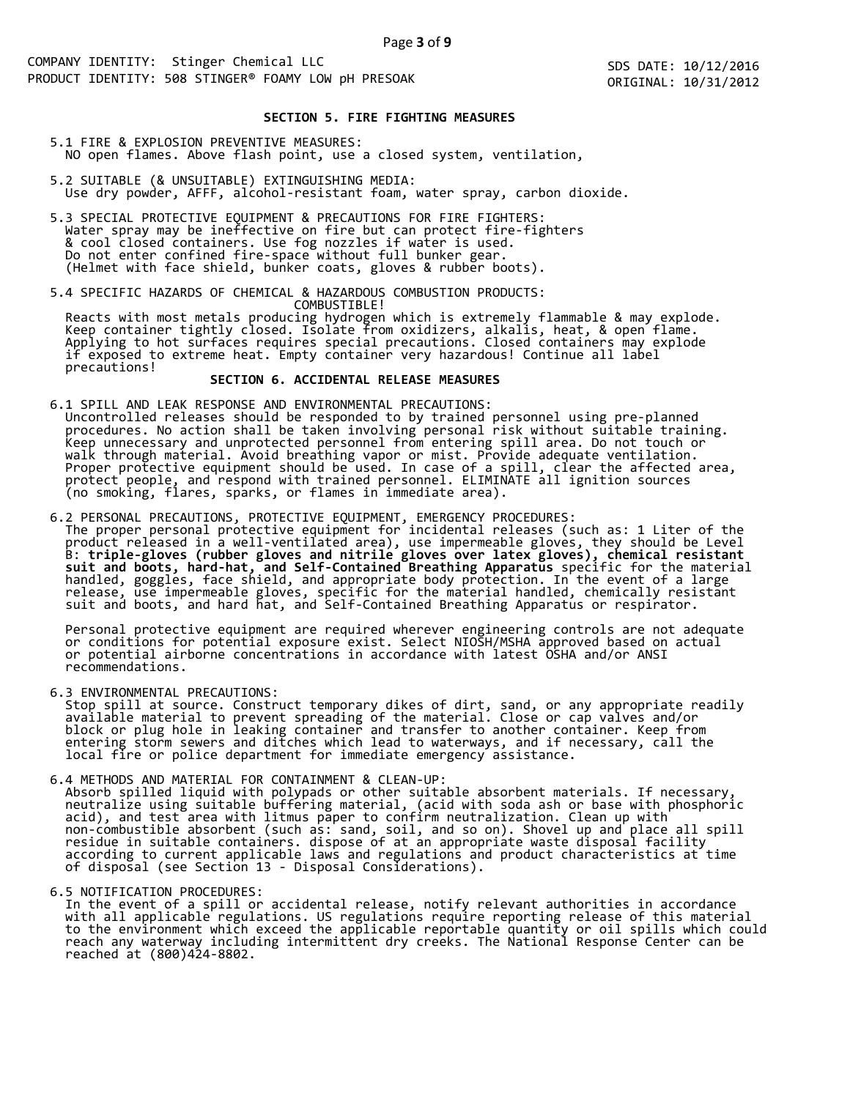SDS DATE: 10/12/2016 ORIGINAL: 10/31/2012

### **SECTION 5. FIRE FIGHTING MEASURES**

- 5.1 FIRE & EXPLOSION PREVENTIVE MEASURES: NO open flames. Above flash point, use a closed system, ventilation,
- 5.2 SUITABLE (& UNSUITABLE) EXTINGUISHING MEDIA: Use dry powder, AFFF, alcohol-resistant foam, water spray, carbon dioxide.
- 5.3 SPECIAL PROTECTIVE EQUIPMENT & PRECAUTIONS FOR FIRE FIGHTERS:<br>Water spray may be ineffective on fire but can protect fire-fighters<br>& cool closed containers. Use fog nozzles if water is used.<br>Do not enter confined fire-

5.4 SPECIFIC HAZARDS OF CHEMICAL & HAZARDOUS COMBUSTION PRODUCTS:<br>
COMBUSTIBLE!<br>
Reacts with most metals producing hydrogen which is extremely flammable & may explode.<br>
Keep container tightly closed. Isolate from oxidizers

6.1 SPILL AND LEAK RESPONSE AND ENVIRONMENTAL PRECAUTIONS:<br>Uncontrolled releases should be responded to by trained personnel using pre-planned<br>procedures. No action shall be taken involving personal risk without suitable t

6.2 PERSONAL PRECAUTIONS, PROTECTIVE EQUIPMENT, EMERGENCY PROCEDURES:<br>The proper personal protective equipment for incidental releases (such as: 1 Liter of the<br>product released in a well-ventilated area), use impermeable g

Personal protective equipment are required wherever engineering controls are not adequate<br>or conditions for potential exposure exist. Select NIOSH/MSHA approved based on actual<br>or potential airborne concentrations in accor

6.3 ENVIRONMENTAL PRECAUTIONS:<br>Stop spill at source. Construct temporary dikes of dirt, sand, or any appropriate readily<br>available material to prevent spreading of the material. Close or cap valves and/or<br>block or plug hol

6.4 METHODS AND MATERIAL FOR CONTAINMENT & CLEAN-UP:<br>Absorb spilled liquid with polypads or other suitable absorbent materials. If necessary,<br>neutralize using suitable buffering material, (acid with soda ash or base with p

6.5 NOTIFICATION PROCEDURES:<br>In the event of a spill or accidental release, notify relevant authorities in accordance with all applicable regulations. US regulations require reporting release of this material<br>to the environment which exceed the applicable reportable quantity or oil spills which could<br>reach any waterway including intermitt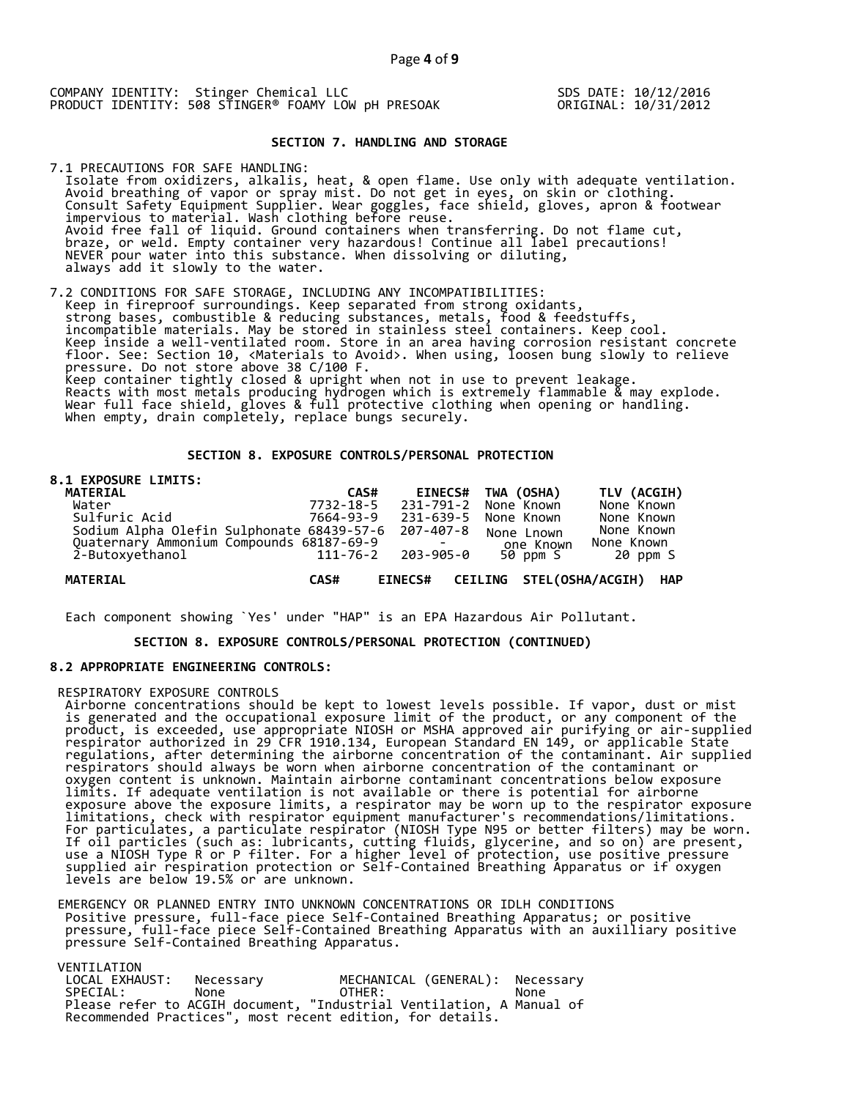SDS DATE: 10/12/2016 ORIGINAL: 10/31/2012

### **SECTION 7. HANDLING AND STORAGE**

7.1 PRECAUTIONS FOR SAFE HANDLING: Isolate from oxidizers, alkalis, heat, & open flame. Use only with adequate ventilation. Avoid breathing of vapor or spray mist. Do not get in eyes, on skin or clothing.<br>Consult Safety Equipment Supplier. Wear goggles, face shield, gloves, apron & footwear<br>impervious to material. Wash clothing before reuse.<br>Av

7.2 CONDITIONS FOR SAFE STORAGE, INCLUDING ANY INCOMPATIBILITIES:<br>Keep in fireproof surroundings. Keep separated from strong oxidants,<br>strong bases, combustible & reducing substances, metals, food & feedstuffs,<br>incompatibl The Section 10, <Materials to Avoid>. When using, loosen bung slowly to relieve<br>pressure. Do not store above 38 C/100 F.<br>Keep container tightly closed & upright when not in use to prevent leakage.<br>Reacts with most metals p

### **SECTION 8. EXPOSURE CONTROLS/PERSONAL PROTECTION**

#### **8.1 EXPOSURE LIMITS:**

| <b>MATERIAL</b>                                     | CAS#      |           | EINECS# TWA (OSHA)                   | TLV (ACGIH) |
|-----------------------------------------------------|-----------|-----------|--------------------------------------|-------------|
| Water                                               | 7732-18-5 | 231-791-2 | None Known                           | None Known  |
| Sulfuric Acid                                       | 7664-93-9 | 231-639-5 | None Known                           | None Known  |
| Sodium Alpha Olefin Sulphonate 68439-57-6 207-407-8 |           |           | None Lnown                           | None Known  |
| Ouaternary Ammonium Compounds 68187-69-9            |           |           | one Known                            | None Known  |
| 2-Butoxyethanol                                     | 111-76-2  | 203-905-0 | 50 ppm S                             | 20 ppm S    |
| <b>MATERIAL</b>                                     |           |           |                                      |             |
|                                                     | CAS#      |           | EINECS# CEILING STEL(OSHA/ACGIH) HAP |             |

Each component showing `Yes' under "HAP" is an EPA Hazardous Air Pollutant.

 **SECTION 8. EXPOSURE CONTROLS/PERSONAL PROTECTION (CONTINUED)**

#### **8.2 APPROPRIATE ENGINEERING CONTROLS:**

RESPIRATORY EXPOSURE CONTROLS<br>Airborne concentrations should be kept to lowest levels possible. If vapor, dust or mist<br>is generated and the occupational exposure limit of the product, or any component of the<br>product, is ex oxygen content is unknown. Maintain airborne contaminant concentrations below exposure<br>limits. If adequate ventilation is not available or there is potential for airborne<br>exposure above the exposure limits, a respirator ma

EMERGENCY OR PLANNED ENTRY INTO UNKNOWN CONCENTRATIONS OR IDLH CONDITIONS<br>Positive pressure, full-face piece Self-Contained Breathing Apparatus; or positive<br>pressure, full-face piece Self-Contained Breathing Apparatus with

VENTILATION

| LOCAL EXHAUST: | Necessarv                                                            | MECHANICAL (GENERAL): Necessary |      |  |
|----------------|----------------------------------------------------------------------|---------------------------------|------|--|
| SPECIAL:       | None                                                                 | OTHER:                          | None |  |
|                | Please refer to ACGIH document, "Industrial Ventilation, A Manual of |                                 |      |  |
|                | Recommended Practices", most recent edition, for details.            |                                 |      |  |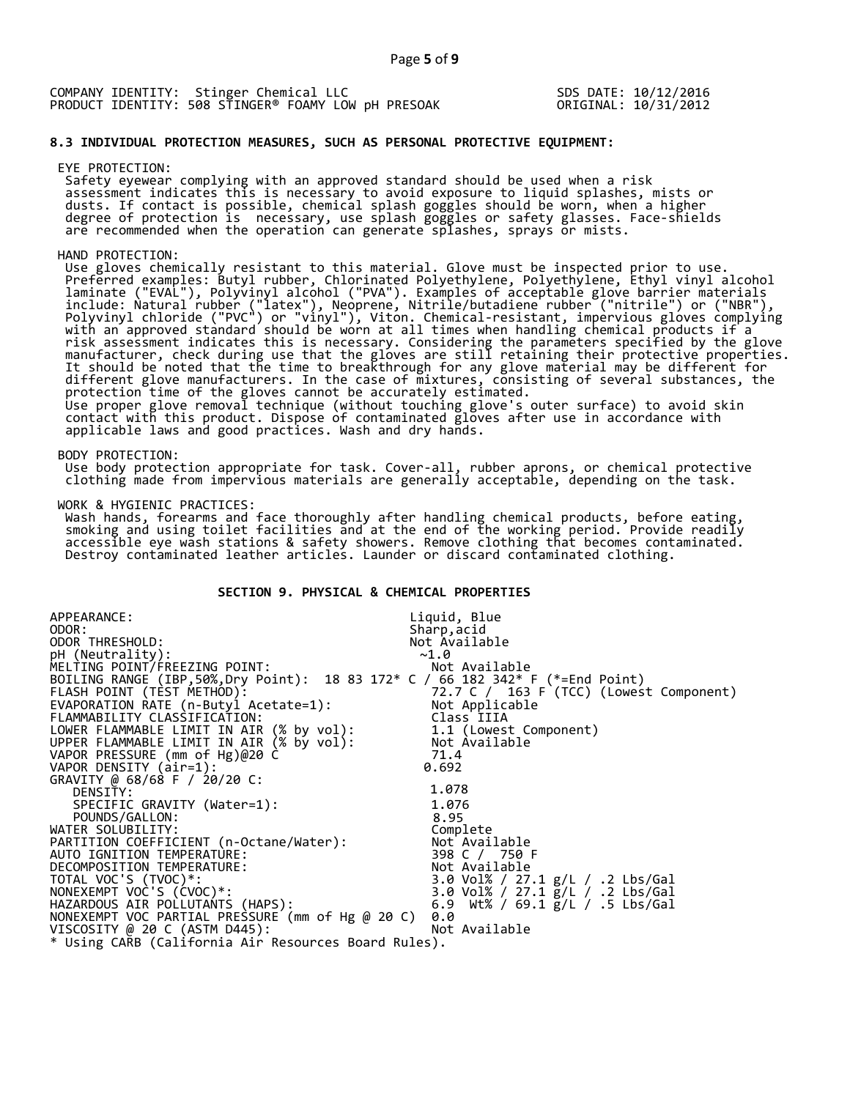|  | COMPANY IDENTITY: Stinger Chemical LLC              |  | SDS DATE: 10/12/2016 |
|--|-----------------------------------------------------|--|----------------------|
|  | PRODUCT IDENTITY: 508 STINGER® FOAMY LOW DH PRESOAK |  | ORIGINAL: 10/31/2012 |

### **8.3 INDIVIDUAL PROTECTION MEASURES, SUCH AS PERSONAL PROTECTIVE EQUIPMENT:**

EYE PROTECTION:<br>Safety eyewear complying with an approved standard should be used when a risk Safety eyewear complying with an approved standard should be used when a risk<br>assessment indicates this is necessary to avoid exposure to liquid splashes, mists or<br>dusts. If contact is possible, chemical splash goggles sho are recommended when the operation can generate splashes, sprays or mists.

HAND PROTECTION:<br>Use gloves chemically resistant to this material. Glove must be inspected prior to use. Use gloves chemically resistant to this material. Glove must be inspected prior to use.<br>Preferred examples: Butyl rubber, Chlorinated Polyethylene, Polyethylene, Ethyl vinyl alcohol<br>laminate ("EVAL"), Polyyinyl alcohol ("P different glove manufacturers. In the case of mixtures, consisting of several substances, the<br>protection time of the gloves cannot be accurately estimated.<br>Use proper glove removal technique (without touching glove's outer

BODY PROTECTION:<br>Use body protection appropriate for task. Cover-all, rubber aprons, or chemical protective<br>clothing made from impervious materials are generally acceptable, depending on the task.

WORK & HYGIENIC PRACTICES:

Wash hands, forearms and face thoroughly after handling chemical products, before eating,<br>smoking and using toilet facilities and at the end of the working period. Provide readily<br>accessible eye wash stations & safety show

# **SECTION 9. PHYSICAL & CHEMICAL PROPERTIES**

| APPEARANCE:                                                                     | Liquid, Blue                            |
|---------------------------------------------------------------------------------|-----------------------------------------|
| ODOR:                                                                           | Sharp, acid                             |
| ODOR THRESHOLD:                                                                 | Not Available                           |
| pH (Neutrality):                                                                | ~1.0                                    |
| MELTING POINT/FREEZING POINT:                                                   | Not Available                           |
| BOILING RANGE (IBP, 50%, Dry Point): 18 83 172* C / 66 182 342* F (*=End Point) |                                         |
| FLASH POINT (TÈST METHOD):                                                      | 72.7 C / 163 F (TCC) (Lowest Component) |
| EVAPORATION RATE (n-Butyl Acetate=1):                                           | Not Applicable                          |
| FLAMMABILITY CLASSIFICATION:                                                    | Class IIIA                              |
| LOWER FLAMMABLE LIMIT IN AIR (% by vol):                                        | 1.1 (Lowest Component)                  |
| UPPER FLAMMABLE LIMIT IN AIR (% by vol):                                        | Not Àvailable                           |
| VAPOR PRESSURE (mm of Hg)@20 C                                                  | 71.4                                    |
| VAPOR DENSITY (air=1):                                                          | 0.692                                   |
| GRAVITY @ 68/68 F / 20/20 C:                                                    |                                         |
| DENSITY:                                                                        | 1.078                                   |
| SPECIFIC GRAVITY (Water=1):                                                     | 1.076                                   |
| POUNDS/GALLON:                                                                  | 8.95                                    |
| WATER SOLUBILITY:                                                               | Complete                                |
| PARTITION COEFFICIENT (n-Octane/Water):                                         | Not Available                           |
| AUTO IGNITION TEMPERATURE:                                                      | 398 C / 750 F                           |
| DECOMPOSITION TEMPERATURE:                                                      | Not Available                           |
| TOTAL VOC'S (TVOC)*:                                                            | 3.0 Vol% / 27.1 g/L / .2 Lbs/Gal        |
| NONEXEMPT VOC'S (CVOC)*:                                                        | 3.0 Vol% / 27.1 g/L / .2 Lbs/Gal        |
| HAZARDOUS AIR POLLUTANTS (HAPS):                                                | 6.9 Wt% / 69.1 g/L / .5 Lbs/Gal         |
| NONEXEMPT VOC PARTIAL PRESSURE (mm of Hg @ 20 C)                                | 0.0                                     |
| VISCOSITY @ 20 C (ASTM D445):                                                   | Not Available                           |
| * Using CARB (California Air Resources Board Rules).                            |                                         |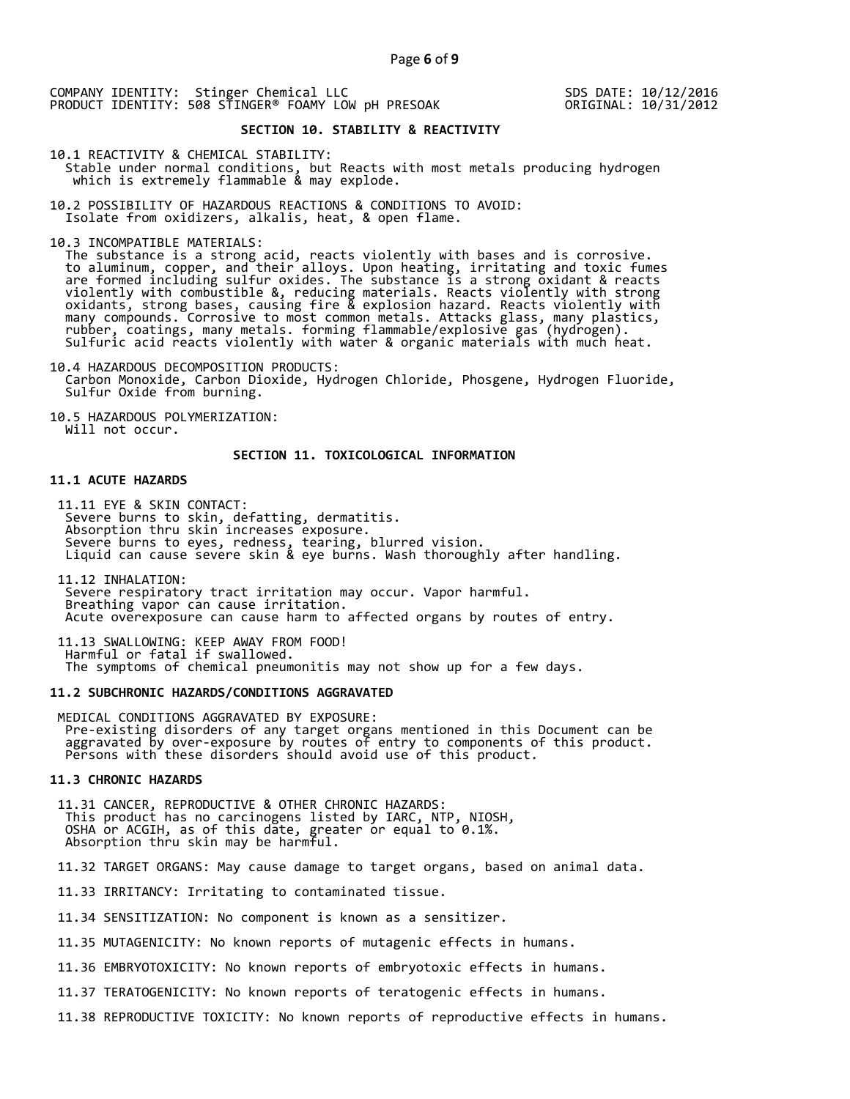SDS DATE: 10/12/2016 ORIGINAL: 10/31/2012

# **SECTION 10. STABILITY & REACTIVITY**

10.1 REACTIVITY & CHEMICAL STABILITY: Stable under normal conditions, but Reacts with most metals producing hydrogen which is extremely flammable & may explode.

10.2 POSSIBILITY OF HAZARDOUS REACTIONS & CONDITIONS TO AVOID: Isolate from oxidizers, alkalis, heat, & open flame.

10.3 INCOMPATIBLE MATERIALS:

The substance is a strong acid, reacts violently with bases and is corrosive.<br>to aluminum, copper, and their alloys. Upon heating, irritating and toxic fumes are formed including sulfur oxides. The substance is a strong oxidant & reacts violently with combustible &, reducing materials. Reacts violently with strong oxidants, strong bases, causing fire & explosion hazard. Reacts violently with many compounds. Corrosive to most common metals. Attacks glass, many plastics, rubber, coatings, many metals. forming flammable/explosive gas (hydrogen).<br>Sulfuric acid reacts violently with water & organic materials with much heat.

10.4 HAZARDOUS DECOMPOSITION PRODUCTS: Carbon Monoxide, Carbon Dioxide, Hydrogen Chloride, Phosgene, Hydrogen Fluoride, Sulfur Oxide from burning.

10.5 HAZARDOUS POLYMERIZATION: Will not occur.

### **SECTION 11. TOXICOLOGICAL INFORMATION**

#### **11.1 ACUTE HAZARDS**

11.11 EYE & SKIN CONTACT:<br>Severe burns to skin, defatting, dermatitis.<br>Absorption thru skin increases exposure. Severe burns to eyes, redness, tearing, blurred vision.<br>Liquid can cause severe skin & eye burns. Wash thoroughly after handling.

11.12 INHALATION:<br>Severe respiratory tract irritation may occur. Vapor harmful.<br>Breathing vapor can cause irritation.<br>Acute overexposure can cause harm to affected organs by routes of entry.

11.13 SWALLOWING: KEEP AWAY FROM FOOD!<br>Harmful or fatal if swallowed.<br>The symptoms of chemical pneumonitis may not show up for a few days.

### **11.2 SUBCHRONIC HAZARDS/CONDITIONS AGGRAVATED**

MEDICAL CONDITIONS AGGRAVATED BY EXPOSURE:<br>Pre-existing disorders of any target organs mentioned in this Document can be<br>aggravated by over-exposure by routes of entry to components of this product.<br>Persons with these diso

#### **11.3 CHRONIC HAZARDS**

11.31 CANCER, REPRODUCTIVE & OTHER CHRONIC HAZARDS:<br>This product has no carcinogens listed by IARC, NTP, NIOSH,<br>OSHA or ACGIH, as of this date, greater or equal to 0.1%.<br>Absorption thru skin may be harmful.

11.32 TARGET ORGANS: May cause damage to target organs, based on animal data.

11.33 IRRITANCY: Irritating to contaminated tissue.

11.34 SENSITIZATION: No component is known as a sensitizer.

11.35 MUTAGENICITY: No known reports of mutagenic effects in humans.

11.36 EMBRYOTOXICITY: No known reports of embryotoxic effects in humans.

11.37 TERATOGENICITY: No known reports of teratogenic effects in humans.

11.38 REPRODUCTIVE TOXICITY: No known reports of reproductive effects in humans.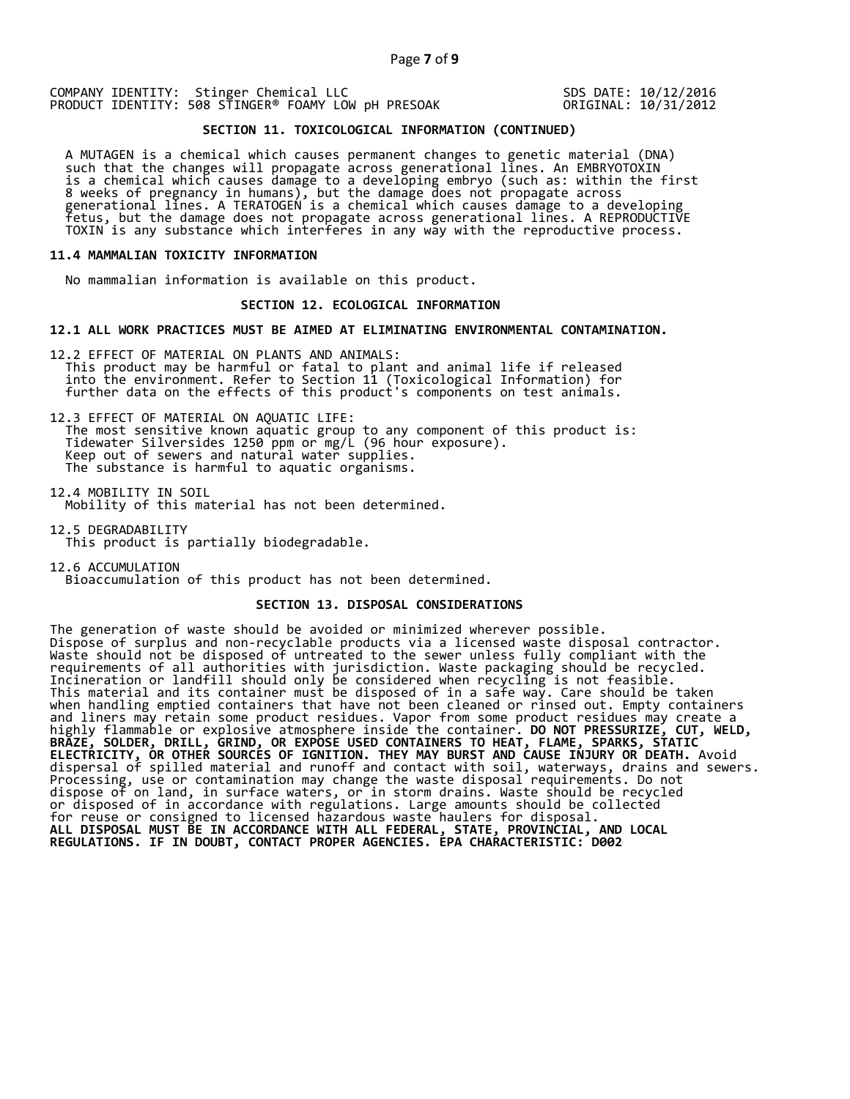SDS DATE: 10/12/2016 ORIGINAL: 10/31/2012

# **SECTION 11. TOXICOLOGICAL INFORMATION (CONTINUED)**

A MUTAGEN is a chemical which causes permanent changes to genetic material (DNA)<br>such that the changes will propagate across generational lines. An EMBRYOTOXIN<br>is a chemical which causes damage to a developing embryo (such

#### **11.4 MAMMALIAN TOXICITY INFORMATION**

No mammalian information is available on this product.

#### **SECTION 12. ECOLOGICAL INFORMATION**

#### **12.1 ALL WORK PRACTICES MUST BE AIMED AT ELIMINATING ENVIRONMENTAL CONTAMINATION.**

12.2 EFFECT OF MATERIAL ON PLANTS AND ANIMALS:<br>This product may be harmful or fatal to plant and animal life if released<br>into the environment. Refer to Section 11 (Toxicological Information) for<br>further data on the effects

12.3 EFFECT OF MATERIAL ON AQUATIC LIFE:<br>The most sensitive known aquatic group to any component of this product is:<br>Tidewater Silversides 1250 ppm or mg/L (96 hour exposure).<br>Keep out of sewers and natural water supplies.

12.4 MOBILITY IN SOIL Mobility of this material has not been determined.

12.5 DEGRADABILITY This product is partially biodegradable.

12.6 ACCUMULATION Bioaccumulation of this product has not been determined.

#### **SECTION 13. DISPOSAL CONSIDERATIONS**

The generation of waste should be avoided or minimized wherever possible. Dispose of surplus and non-recyclable products via a licensed waste disposal contractor. Waste should not be disposed of untreated to the sewer unless fully compliant with the requirements of all authorities with jurisdiction. Waste packaging should be recycled. Incineration or landfill should only be considered when recycling is not feasible. This material and its container must be disposed of in a safe way. Care should be taken when handling emptied containers that have not been cleaned or rinsed out. Empty containers and liners may retain some product residues. Vapor from some product residues may create a highly flammable or explosive atmosphere inside the container. **DO NOT PRESSURIZE, CUT, WELD, BRAZE, SOLDER, DRILL, GRIND, OR EXPOSE USED CONTAINERS TO HEAT, FLAME, SPARKS, STATIC ELECTRICITY, OR OTHER SOURCES OF IGNITION. THEY MAY BURST AND CAUSE INJURY OR DEATH.** Avoid dispersal of spilled material and runoff and contact with soil, waterways, drains and sewers. Processing, use or contamination may change the waste disposal requirements. Do not dispose of on land, in surface waters, or in storm drains. Waste should be recycled or disposed of in accordance with regulations. Large amounts should be collected for reuse or consigned to licensed hazardous waste haulers for disposal. **ALL DISPOSAL MUST BE IN ACCORDANCE WITH ALL FEDERAL, STATE, PROVINCIAL, AND LOCAL REGULATIONS. IF IN DOUBT, CONTACT PROPER AGENCIES. EPA CHARACTERISTIC: D002**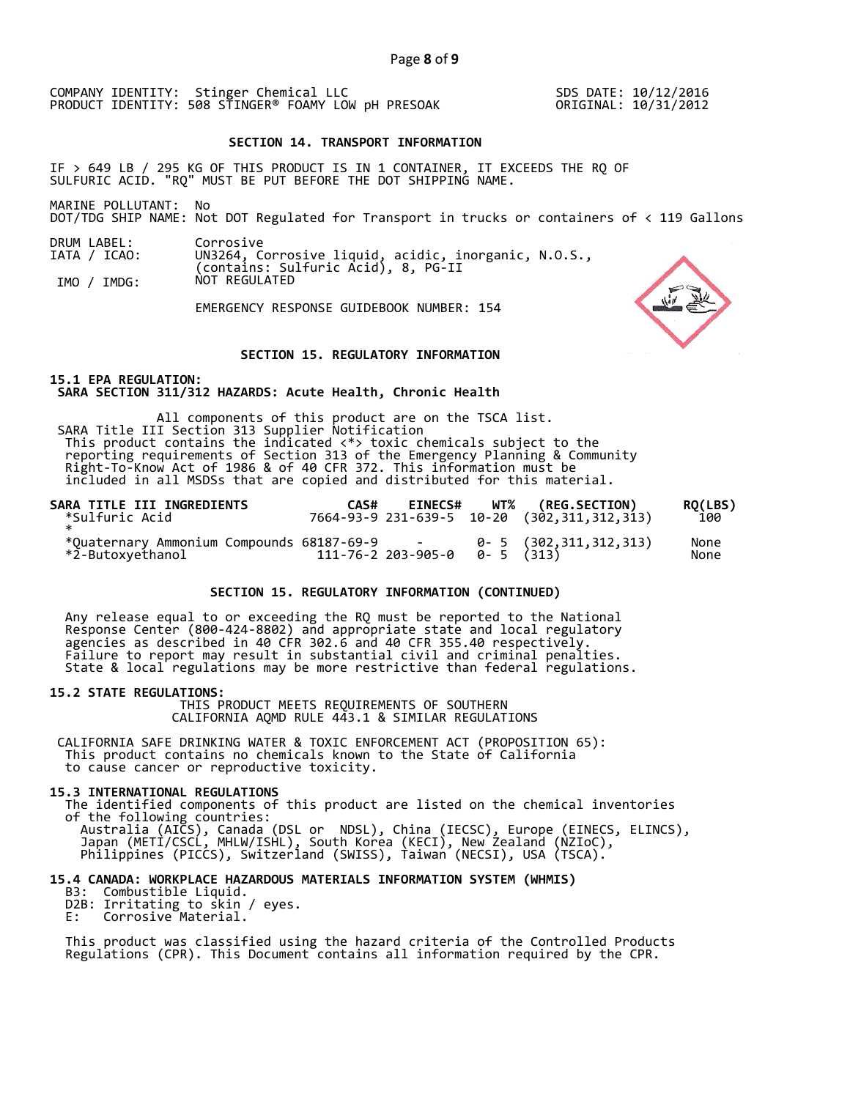SDS DATE: 10/12/2016 ORIGINAL: 10/31/2012

#### **SECTION 14. TRANSPORT INFORMATION**

IF > 649 LB / 295 KG OF THIS PRODUCT IS IN 1 CONTAINER, IT EXCEEDS THE RQ OF SULFURIC ACID. "RQ" MUST BE PUT BEFORE THE DOT SHIPPING NAME.

MARINE POLLUTANT: No

DOT/TDG SHIP NAME: Not DOT Regulated for Transport in trucks or containers of < 119 Gallons

DRUM LABEL: IATA / ICAO: Corrosive UN3264, Corrosive liquid, acidic, inorganic, N.O.S., (contains: Sulfuric Acid), 8, PG-II

IMO / IMDG: NOT REGULATED

EMERGENCY RESPONSE GUIDEBOOK NUMBER: 154

### **SECTION 15. REGULATORY INFORMATION**

**15.1 EPA REGULATION: SARA SECTION 311/312 HAZARDS: Acute Health, Chronic Health** 

All components of this product are on the TSCA list. SARA Title III Section 313 Supplier Notification This product contains the indicated  $\langle * \rangle$  toxic chemicals subject to the reporting requirements of Section 313 of the Emergency Planning & Community Right-To-Know Act of 1986 & of 40 CFR 372. This information must be in

| SARA TITLE III INGREDIENTS<br>*Sulfuric Acid* | CAS# |  | EINECS# WT% (REG.SECTION)<br>7664-93-9 231-639-5 10-20 (302,311,312,313) | RQ(LBS)<br>100 |
|-----------------------------------------------|------|--|--------------------------------------------------------------------------|----------------|
|                                               |      |  |                                                                          | None<br>None   |

### **SECTION 15. REGULATORY INFORMATION (CONTINUED)**

Any release equal to or exceeding the RQ must be reported to the National<br>Response Center (800-424-8802) and appropriate state and local regulatory<br>agencies as described in 40 CFR 302.6 and 40 CFR 355.40 respectively.<br>Fail

**15.2 STATE REGULATIONS:** THIS PRODUCT MEETS REQUIREMENTS OF SOUTHERN CALIFORNIA AQMD RULE 443.1 & SIMILAR REGULATIONS

CALIFORNIA SAFE DRINKING WATER & TOXIC ENFORCEMENT ACT (PROPOSITION 65): This product contains no chemicals known to the State of California to cause cancer or reproductive toxicity.

15.3 INTERNATIONAL REGULATIONS<br>The identified components of this product are listed on the chemical inventories<br>of the following countries:<br>Australia (AICS), Canada (DSL or NDSL), China (IECSC), Europe (EINECS, ELINCS),<br>Ja

# **15.4 CANADA: WORKPLACE HAZARDOUS MATERIALS INFORMATION SYSTEM (WHMIS)**

- D2B: Irritating to skin / eyes.<br>E: Corrosive Material.
- 

This product was classified using the hazard criteria of the Controlled Products Regulations (CPR). This Document contains all information required by the CPR.